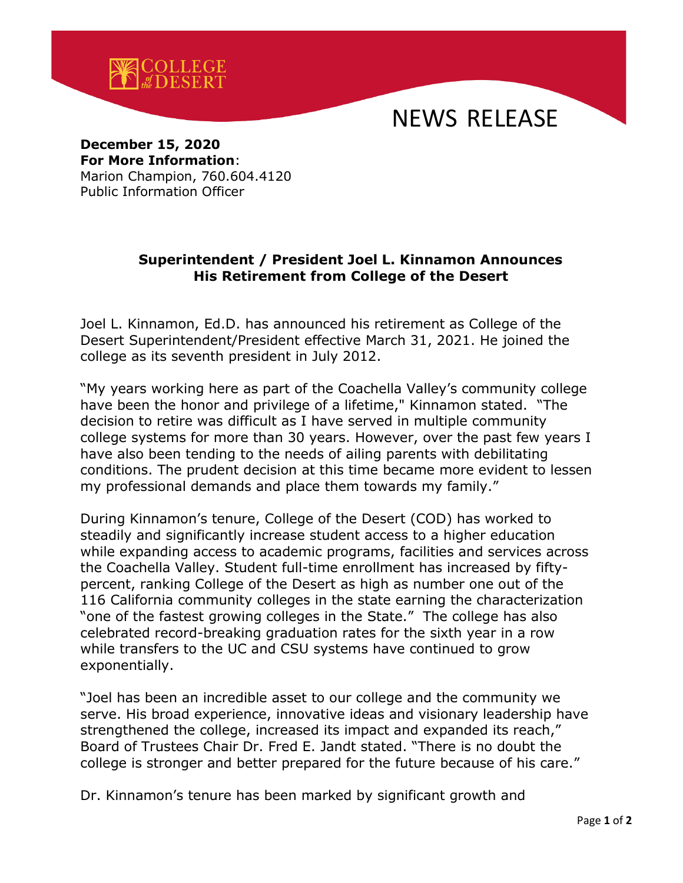



**December 15, 2020 For More Information**: Marion Champion, 760.604.4120

Public Information Officer

## **Superintendent / President Joel L. Kinnamon Announces His Retirement from College of the Desert**

Joel L. Kinnamon, Ed.D. has announced his retirement as College of the Desert Superintendent/President effective March 31, 2021. He joined the college as its seventh president in July 2012.

"My years working here as part of the Coachella Valley's community college have been the honor and privilege of a lifetime," Kinnamon stated. "The decision to retire was difficult as I have served in multiple community college systems for more than 30 years. However, over the past few years I have also been tending to the needs of ailing parents with debilitating conditions. The prudent decision at this time became more evident to lessen my professional demands and place them towards my family."

During Kinnamon's tenure, College of the Desert (COD) has worked to steadily and significantly increase student access to a higher education while expanding access to academic programs, facilities and services across the Coachella Valley. Student full-time enrollment has increased by fiftypercent, ranking College of the Desert as high as number one out of the 116 California community colleges in the state earning the characterization "one of the fastest growing colleges in the State." The college has also celebrated record-breaking graduation rates for the sixth year in a row while transfers to the UC and CSU systems have continued to grow exponentially.

"Joel has been an incredible asset to our college and the community we serve. His broad experience, innovative ideas and visionary leadership have strengthened the college, increased its impact and expanded its reach," Board of Trustees Chair Dr. Fred E. Jandt stated. "There is no doubt the college is stronger and better prepared for the future because of his care."

Dr. Kinnamon's tenure has been marked by significant growth and